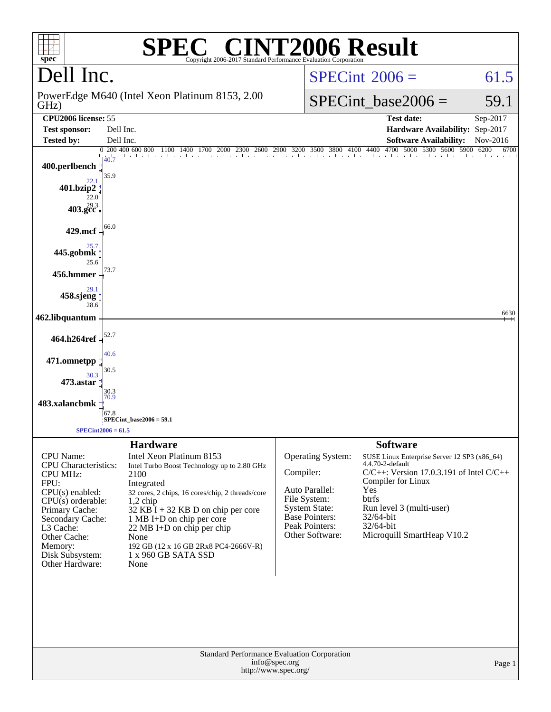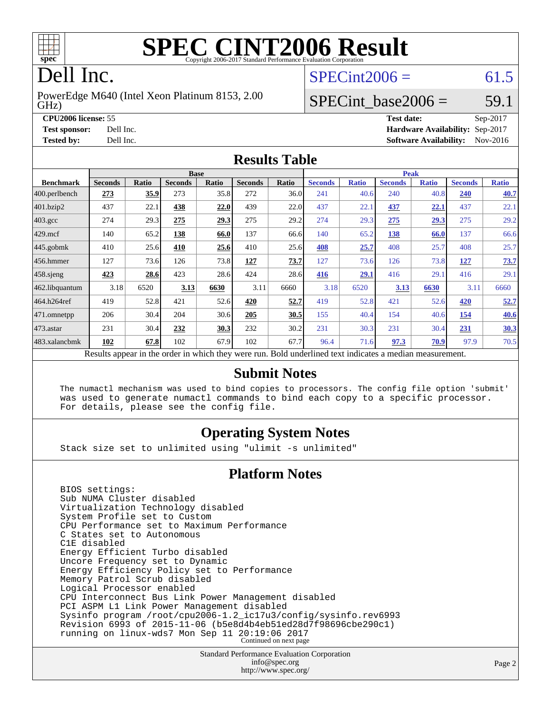

# **[SPEC CINT2006 Result](http://www.spec.org/auto/cpu2006/Docs/result-fields.html#SPECCINT2006Result)**

# Dell Inc.

GHz) PowerEdge M640 (Intel Xeon Platinum 8153, 2.00  $SPECint2006 = 61.5$  $SPECint2006 = 61.5$ 

### SPECint base2006 =  $59.1$

**[CPU2006 license:](http://www.spec.org/auto/cpu2006/Docs/result-fields.html#CPU2006license)** 55 **[Test date:](http://www.spec.org/auto/cpu2006/Docs/result-fields.html#Testdate)** Sep-2017 **[Test sponsor:](http://www.spec.org/auto/cpu2006/Docs/result-fields.html#Testsponsor)** Dell Inc. **[Hardware Availability:](http://www.spec.org/auto/cpu2006/Docs/result-fields.html#HardwareAvailability)** Sep-2017 **[Tested by:](http://www.spec.org/auto/cpu2006/Docs/result-fields.html#Testedby)** Dell Inc. **[Software Availability:](http://www.spec.org/auto/cpu2006/Docs/result-fields.html#SoftwareAvailability)** Nov-2016

#### **[Results Table](http://www.spec.org/auto/cpu2006/Docs/result-fields.html#ResultsTable)**

|                                                                                                          | <b>Base</b>    |       |                |       |                |       |                | <b>Peak</b>  |                |              |                |              |  |
|----------------------------------------------------------------------------------------------------------|----------------|-------|----------------|-------|----------------|-------|----------------|--------------|----------------|--------------|----------------|--------------|--|
| <b>Benchmark</b>                                                                                         | <b>Seconds</b> | Ratio | <b>Seconds</b> | Ratio | <b>Seconds</b> | Ratio | <b>Seconds</b> | <b>Ratio</b> | <b>Seconds</b> | <b>Ratio</b> | <b>Seconds</b> | <b>Ratio</b> |  |
| $ 400$ .perlbench                                                                                        | 273            | 35.9  | 273            | 35.8  | 272            | 36.0  | 241            | 40.6         | 240            | 40.8         | 240            | 40.7         |  |
| 401.bzip2                                                                                                | 437            | 22.1  | 438            | 22.0  | 439            | 22.0  | 437            | 22.1         | 437            | 22.1         | 437            | 22.1         |  |
| $403.\mathrm{gcc}$                                                                                       | 274            | 29.3  | 275            | 29.3  | 275            | 29.2  | 274            | 29.3         | 275            | 29.3         | 275            | 29.2         |  |
| $429$ .mcf                                                                                               | 140            | 65.2  | 138            | 66.0  | 137            | 66.6  | 140            | 65.2         | 138            | 66.0         | 137            | 66.6         |  |
| $445$ .gobmk                                                                                             | 410            | 25.6  | 410            | 25.6  | 410            | 25.6  | 408            | 25.7         | 408            | 25.7         | 408            | 25.7         |  |
| $ 456$ .hmmer                                                                                            | 127            | 73.6  | 126            | 73.8  | 127            | 73.7  | 127            | 73.6         | 126            | 73.8         | <u>127</u>     | 73.7         |  |
| $458$ .sjeng                                                                                             | 423            | 28.6  | 423            | 28.6  | 424            | 28.6  | 416            | 29.1         | 416            | 29.1         | 416            | 29.1         |  |
| 462.libquantum                                                                                           | 3.18           | 6520  | 3.13           | 6630  | 3.11           | 6660  | 3.18           | 6520         | 3.13           | 6630         | 3.11           | 6660         |  |
| 464.h264ref                                                                                              | 419            | 52.8  | 421            | 52.6  | 420            | 52.7  | 419            | 52.8         | 421            | 52.6         | 420            | 52.7         |  |
| $ 471$ .omnetpp                                                                                          | 206            | 30.4  | 204            | 30.6  | 205            | 30.5  | 155            | 40.4         | 154            | 40.6         | 154            | <b>40.6</b>  |  |
| $473$ . astar                                                                                            | 231            | 30.4  | 232            | 30.3  | 232            | 30.2  | 231            | 30.3         | 231            | 30.4         | 231            | 30.3         |  |
| 483.xalancbmk                                                                                            | 102            | 67.8  | 102            | 67.9  | 102            | 67.7  | 96.4           | 71.6         | 97.3           | 70.9         | 97.9           | 70.5         |  |
| Results appear in the order in which they were run. Bold underlined text indicates a median measurement. |                |       |                |       |                |       |                |              |                |              |                |              |  |

#### **[Submit Notes](http://www.spec.org/auto/cpu2006/Docs/result-fields.html#SubmitNotes)**

 The numactl mechanism was used to bind copies to processors. The config file option 'submit' was used to generate numactl commands to bind each copy to a specific processor. For details, please see the config file.

### **[Operating System Notes](http://www.spec.org/auto/cpu2006/Docs/result-fields.html#OperatingSystemNotes)**

Stack size set to unlimited using "ulimit -s unlimited"

#### **[Platform Notes](http://www.spec.org/auto/cpu2006/Docs/result-fields.html#PlatformNotes)**

 BIOS settings: Sub NUMA Cluster disabled Virtualization Technology disabled System Profile set to Custom CPU Performance set to Maximum Performance C States set to Autonomous C1E disabled Energy Efficient Turbo disabled Uncore Frequency set to Dynamic Energy Efficiency Policy set to Performance Memory Patrol Scrub disabled Logical Processor enabled CPU Interconnect Bus Link Power Management disabled PCI ASPM L1 Link Power Management disabled Sysinfo program /root/cpu2006-1.2\_ic17u3/config/sysinfo.rev6993 Revision 6993 of 2015-11-06 (b5e8d4b4eb51ed28d7f98696cbe290c1) running on linux-wds7 Mon Sep 11 20:19:06 2017 Continued on next page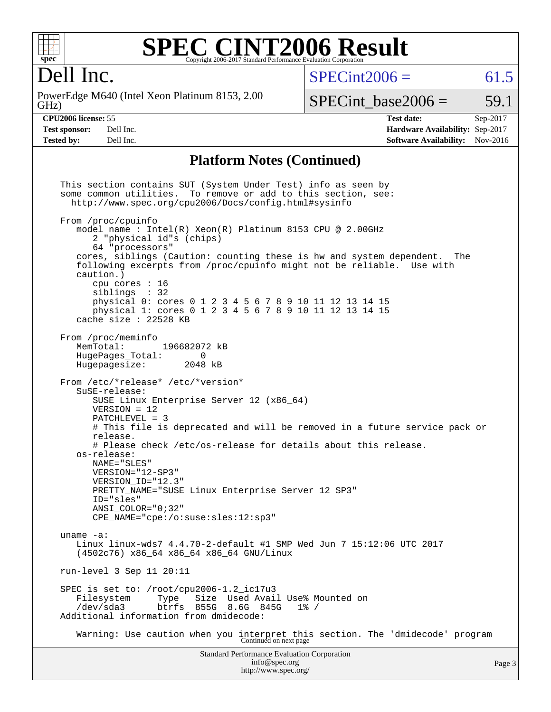

#### **[SPEC CINT2006 Result](http://www.spec.org/auto/cpu2006/Docs/result-fields.html#SPECCINT2006Result)** Copyright 2006-2017 Standard Performance Evaluation Corporation

# Dell Inc.

GHz) PowerEdge M640 (Intel Xeon Platinum 8153, 2.00  $SPECint2006 = 61.5$  $SPECint2006 = 61.5$ 

SPECint base2006 =  $59.1$ 

**[CPU2006 license:](http://www.spec.org/auto/cpu2006/Docs/result-fields.html#CPU2006license)** 55 **[Test date:](http://www.spec.org/auto/cpu2006/Docs/result-fields.html#Testdate)** Sep-2017 **[Test sponsor:](http://www.spec.org/auto/cpu2006/Docs/result-fields.html#Testsponsor)** Dell Inc. **[Hardware Availability:](http://www.spec.org/auto/cpu2006/Docs/result-fields.html#HardwareAvailability)** Sep-2017 **[Tested by:](http://www.spec.org/auto/cpu2006/Docs/result-fields.html#Testedby)** Dell Inc. **[Software Availability:](http://www.spec.org/auto/cpu2006/Docs/result-fields.html#SoftwareAvailability)** Nov-2016

#### **[Platform Notes \(Continued\)](http://www.spec.org/auto/cpu2006/Docs/result-fields.html#PlatformNotes)**

Standard Performance Evaluation Corporation [info@spec.org](mailto:info@spec.org) This section contains SUT (System Under Test) info as seen by some common utilities. To remove or add to this section, see: <http://www.spec.org/cpu2006/Docs/config.html#sysinfo> From /proc/cpuinfo model name : Intel(R) Xeon(R) Platinum 8153 CPU @ 2.00GHz 2 "physical id"s (chips) 64 "processors" cores, siblings (Caution: counting these is hw and system dependent. The following excerpts from /proc/cpuinfo might not be reliable. Use with caution.) cpu cores : 16 siblings : 32 physical 0: cores 0 1 2 3 4 5 6 7 8 9 10 11 12 13 14 15 physical 1: cores 0 1 2 3 4 5 6 7 8 9 10 11 12 13 14 15 cache size : 22528 KB From /proc/meminfo<br>MemTotal: 196682072 kB HugePages\_Total: 0 Hugepagesize: 2048 kB From /etc/\*release\* /etc/\*version\* SuSE-release: SUSE Linux Enterprise Server 12 (x86\_64) VERSION = 12 PATCHLEVEL = 3 # This file is deprecated and will be removed in a future service pack or release. # Please check /etc/os-release for details about this release. os-release: NAME="SLES" VERSION="12-SP3" VERSION\_ID="12.3" PRETTY\_NAME="SUSE Linux Enterprise Server 12 SP3" ID="sles" ANSI\_COLOR="0;32" CPE\_NAME="cpe:/o:suse:sles:12:sp3" uname -a: Linux linux-wds7 4.4.70-2-default #1 SMP Wed Jun 7 15:12:06 UTC 2017 (4502c76) x86\_64 x86\_64 x86\_64 GNU/Linux run-level 3 Sep 11 20:11 SPEC is set to: /root/cpu2006-1.2\_ic17u3 Filesystem Type Size Used Avail Use% Mounted on /dev/sda3 btrfs 855G 8.6G 845G 1% / Additional information from dmidecode: Warning: Use caution when you interpret this section. The 'dmidecode' program Continued on next page

<http://www.spec.org/>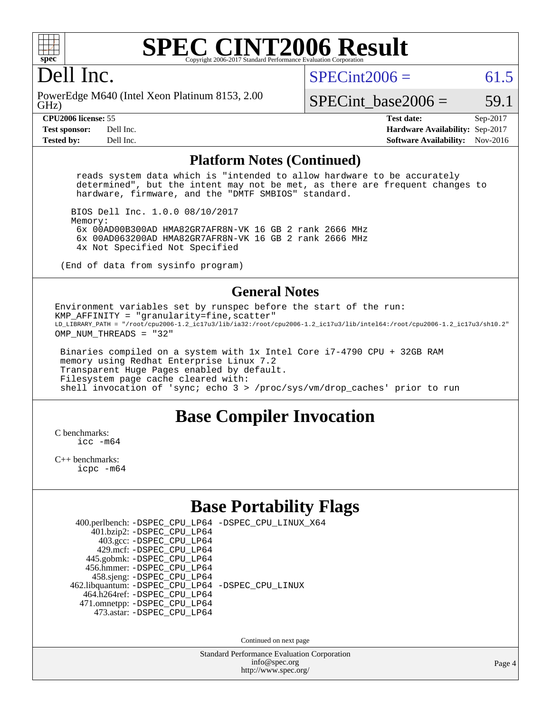

#### **[SPEC CINT2006 Result](http://www.spec.org/auto/cpu2006/Docs/result-fields.html#SPECCINT2006Result)** Copyright 2006-2017 Standard Performance Evaluation C

### Dell Inc.

GHz) PowerEdge M640 (Intel Xeon Platinum 8153, 2.00  $SPECint2006 = 61.5$  $SPECint2006 = 61.5$ 

SPECint base2006 =  $59.1$ 

**[CPU2006 license:](http://www.spec.org/auto/cpu2006/Docs/result-fields.html#CPU2006license)** 55 **[Test date:](http://www.spec.org/auto/cpu2006/Docs/result-fields.html#Testdate)** Sep-2017 **[Test sponsor:](http://www.spec.org/auto/cpu2006/Docs/result-fields.html#Testsponsor)** Dell Inc. **[Hardware Availability:](http://www.spec.org/auto/cpu2006/Docs/result-fields.html#HardwareAvailability)** Sep-2017 **[Tested by:](http://www.spec.org/auto/cpu2006/Docs/result-fields.html#Testedby)** Dell Inc. **[Software Availability:](http://www.spec.org/auto/cpu2006/Docs/result-fields.html#SoftwareAvailability)** Nov-2016

#### **[Platform Notes \(Continued\)](http://www.spec.org/auto/cpu2006/Docs/result-fields.html#PlatformNotes)**

 reads system data which is "intended to allow hardware to be accurately determined", but the intent may not be met, as there are frequent changes to hardware, firmware, and the "DMTF SMBIOS" standard.

 BIOS Dell Inc. 1.0.0 08/10/2017 Memory:

 6x 00AD00B300AD HMA82GR7AFR8N-VK 16 GB 2 rank 2666 MHz 6x 00AD063200AD HMA82GR7AFR8N-VK 16 GB 2 rank 2666 MHz 4x Not Specified Not Specified

(End of data from sysinfo program)

#### **[General Notes](http://www.spec.org/auto/cpu2006/Docs/result-fields.html#GeneralNotes)**

Environment variables set by runspec before the start of the run:  $KMP_A$ FFINITY = "granularity=fine, scatter" LD\_LIBRARY\_PATH = "/root/cpu2006-1.2\_ic17u3/lib/ia32:/root/cpu2006-1.2\_ic17u3/lib/intel64:/root/cpu2006-1.2\_ic17u3/sh10.2" OMP\_NUM\_THREADS = "32"

 Binaries compiled on a system with 1x Intel Core i7-4790 CPU + 32GB RAM memory using Redhat Enterprise Linux 7.2 Transparent Huge Pages enabled by default. Filesystem page cache cleared with: shell invocation of 'sync; echo 3 > /proc/sys/vm/drop\_caches' prior to run

### **[Base Compiler Invocation](http://www.spec.org/auto/cpu2006/Docs/result-fields.html#BaseCompilerInvocation)**

[C benchmarks](http://www.spec.org/auto/cpu2006/Docs/result-fields.html#Cbenchmarks): [icc -m64](http://www.spec.org/cpu2006/results/res2017q4/cpu2006-20170918-49902.flags.html#user_CCbase_intel_icc_64bit_bda6cc9af1fdbb0edc3795bac97ada53)

[C++ benchmarks:](http://www.spec.org/auto/cpu2006/Docs/result-fields.html#CXXbenchmarks) [icpc -m64](http://www.spec.org/cpu2006/results/res2017q4/cpu2006-20170918-49902.flags.html#user_CXXbase_intel_icpc_64bit_fc66a5337ce925472a5c54ad6a0de310)

### **[Base Portability Flags](http://www.spec.org/auto/cpu2006/Docs/result-fields.html#BasePortabilityFlags)**

|                                                    | 400.perlbench: -DSPEC_CPU_LP64 -DSPEC_CPU_LINUX_X64 |
|----------------------------------------------------|-----------------------------------------------------|
| 401.bzip2: -DSPEC_CPU_LP64                         |                                                     |
| 403.gcc: -DSPEC_CPU_LP64                           |                                                     |
| 429.mcf: -DSPEC CPU LP64                           |                                                     |
| 445.gobmk: -DSPEC_CPU_LP64                         |                                                     |
| 456.hmmer: - DSPEC CPU LP64                        |                                                     |
| 458.sjeng: -DSPEC_CPU_LP64                         |                                                     |
| 462.libquantum: - DSPEC_CPU_LP64 - DSPEC_CPU_LINUX |                                                     |
| 464.h264ref: -DSPEC CPU LP64                       |                                                     |
| 471.omnetpp: -DSPEC_CPU_LP64                       |                                                     |
| 473.astar: - DSPEC CPU LP64                        |                                                     |
|                                                    |                                                     |

Continued on next page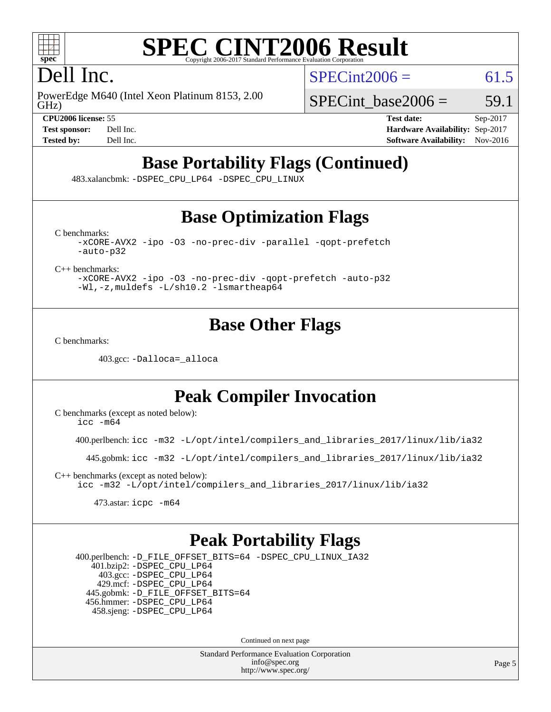

#### **[SPEC CINT2006 Result](http://www.spec.org/auto/cpu2006/Docs/result-fields.html#SPECCINT2006Result)** Copyright 2006-2017 Standard Performance Evaluation

# Dell Inc.

GHz) PowerEdge M640 (Intel Xeon Platinum 8153, 2.00  $SPECint2006 = 61.5$  $SPECint2006 = 61.5$ 

SPECint base2006 =  $59.1$ 

**[CPU2006 license:](http://www.spec.org/auto/cpu2006/Docs/result-fields.html#CPU2006license)** 55 **[Test date:](http://www.spec.org/auto/cpu2006/Docs/result-fields.html#Testdate)** Sep-2017 **[Test sponsor:](http://www.spec.org/auto/cpu2006/Docs/result-fields.html#Testsponsor)** Dell Inc. **[Hardware Availability:](http://www.spec.org/auto/cpu2006/Docs/result-fields.html#HardwareAvailability)** Sep-2017 **[Tested by:](http://www.spec.org/auto/cpu2006/Docs/result-fields.html#Testedby)** Dell Inc. **[Software Availability:](http://www.spec.org/auto/cpu2006/Docs/result-fields.html#SoftwareAvailability)** Nov-2016

# **[Base Portability Flags \(Continued\)](http://www.spec.org/auto/cpu2006/Docs/result-fields.html#BasePortabilityFlags)**

483.xalancbmk: [-DSPEC\\_CPU\\_LP64](http://www.spec.org/cpu2006/results/res2017q4/cpu2006-20170918-49902.flags.html#suite_basePORTABILITY483_xalancbmk_DSPEC_CPU_LP64) [-DSPEC\\_CPU\\_LINUX](http://www.spec.org/cpu2006/results/res2017q4/cpu2006-20170918-49902.flags.html#b483.xalancbmk_baseCXXPORTABILITY_DSPEC_CPU_LINUX)

### **[Base Optimization Flags](http://www.spec.org/auto/cpu2006/Docs/result-fields.html#BaseOptimizationFlags)**

[C benchmarks](http://www.spec.org/auto/cpu2006/Docs/result-fields.html#Cbenchmarks):

[-xCORE-AVX2](http://www.spec.org/cpu2006/results/res2017q4/cpu2006-20170918-49902.flags.html#user_CCbase_f-xCORE-AVX2) [-ipo](http://www.spec.org/cpu2006/results/res2017q4/cpu2006-20170918-49902.flags.html#user_CCbase_f-ipo) [-O3](http://www.spec.org/cpu2006/results/res2017q4/cpu2006-20170918-49902.flags.html#user_CCbase_f-O3) [-no-prec-div](http://www.spec.org/cpu2006/results/res2017q4/cpu2006-20170918-49902.flags.html#user_CCbase_f-no-prec-div) [-parallel](http://www.spec.org/cpu2006/results/res2017q4/cpu2006-20170918-49902.flags.html#user_CCbase_f-parallel) [-qopt-prefetch](http://www.spec.org/cpu2006/results/res2017q4/cpu2006-20170918-49902.flags.html#user_CCbase_f-qopt-prefetch) [-auto-p32](http://www.spec.org/cpu2006/results/res2017q4/cpu2006-20170918-49902.flags.html#user_CCbase_f-auto-p32)

[C++ benchmarks:](http://www.spec.org/auto/cpu2006/Docs/result-fields.html#CXXbenchmarks)

[-xCORE-AVX2](http://www.spec.org/cpu2006/results/res2017q4/cpu2006-20170918-49902.flags.html#user_CXXbase_f-xCORE-AVX2) [-ipo](http://www.spec.org/cpu2006/results/res2017q4/cpu2006-20170918-49902.flags.html#user_CXXbase_f-ipo) [-O3](http://www.spec.org/cpu2006/results/res2017q4/cpu2006-20170918-49902.flags.html#user_CXXbase_f-O3) [-no-prec-div](http://www.spec.org/cpu2006/results/res2017q4/cpu2006-20170918-49902.flags.html#user_CXXbase_f-no-prec-div) [-qopt-prefetch](http://www.spec.org/cpu2006/results/res2017q4/cpu2006-20170918-49902.flags.html#user_CXXbase_f-qopt-prefetch) [-auto-p32](http://www.spec.org/cpu2006/results/res2017q4/cpu2006-20170918-49902.flags.html#user_CXXbase_f-auto-p32) [-Wl,-z,muldefs](http://www.spec.org/cpu2006/results/res2017q4/cpu2006-20170918-49902.flags.html#user_CXXbase_link_force_multiple1_74079c344b956b9658436fd1b6dd3a8a) [-L/sh10.2 -lsmartheap64](http://www.spec.org/cpu2006/results/res2017q4/cpu2006-20170918-49902.flags.html#user_CXXbase_SmartHeap64_63911d860fc08c15fa1d5bf319b9d8d5)

### **[Base Other Flags](http://www.spec.org/auto/cpu2006/Docs/result-fields.html#BaseOtherFlags)**

[C benchmarks](http://www.spec.org/auto/cpu2006/Docs/result-fields.html#Cbenchmarks):

403.gcc: [-Dalloca=\\_alloca](http://www.spec.org/cpu2006/results/res2017q4/cpu2006-20170918-49902.flags.html#b403.gcc_baseEXTRA_CFLAGS_Dalloca_be3056838c12de2578596ca5467af7f3)

### **[Peak Compiler Invocation](http://www.spec.org/auto/cpu2006/Docs/result-fields.html#PeakCompilerInvocation)**

[C benchmarks \(except as noted below\)](http://www.spec.org/auto/cpu2006/Docs/result-fields.html#Cbenchmarksexceptasnotedbelow):  $\text{icc } -\text{m64}$ 

400.perlbench: [icc -m32 -L/opt/intel/compilers\\_and\\_libraries\\_2017/linux/lib/ia32](http://www.spec.org/cpu2006/results/res2017q4/cpu2006-20170918-49902.flags.html#user_peakCCLD400_perlbench_intel_icc_c29f3ff5a7ed067b11e4ec10a03f03ae)

445.gobmk: [icc -m32 -L/opt/intel/compilers\\_and\\_libraries\\_2017/linux/lib/ia32](http://www.spec.org/cpu2006/results/res2017q4/cpu2006-20170918-49902.flags.html#user_peakCCLD445_gobmk_intel_icc_c29f3ff5a7ed067b11e4ec10a03f03ae)

[C++ benchmarks \(except as noted below\):](http://www.spec.org/auto/cpu2006/Docs/result-fields.html#CXXbenchmarksexceptasnotedbelow) [icc -m32 -L/opt/intel/compilers\\_and\\_libraries\\_2017/linux/lib/ia32](http://www.spec.org/cpu2006/results/res2017q4/cpu2006-20170918-49902.flags.html#user_CXXpeak_intel_icc_c29f3ff5a7ed067b11e4ec10a03f03ae)

473.astar: [icpc -m64](http://www.spec.org/cpu2006/results/res2017q4/cpu2006-20170918-49902.flags.html#user_peakCXXLD473_astar_intel_icpc_64bit_fc66a5337ce925472a5c54ad6a0de310)

### **[Peak Portability Flags](http://www.spec.org/auto/cpu2006/Docs/result-fields.html#PeakPortabilityFlags)**

 400.perlbench: [-D\\_FILE\\_OFFSET\\_BITS=64](http://www.spec.org/cpu2006/results/res2017q4/cpu2006-20170918-49902.flags.html#user_peakPORTABILITY400_perlbench_file_offset_bits_64_438cf9856305ebd76870a2c6dc2689ab) [-DSPEC\\_CPU\\_LINUX\\_IA32](http://www.spec.org/cpu2006/results/res2017q4/cpu2006-20170918-49902.flags.html#b400.perlbench_peakCPORTABILITY_DSPEC_CPU_LINUX_IA32) 401.bzip2: [-DSPEC\\_CPU\\_LP64](http://www.spec.org/cpu2006/results/res2017q4/cpu2006-20170918-49902.flags.html#suite_peakPORTABILITY401_bzip2_DSPEC_CPU_LP64) 403.gcc: [-DSPEC\\_CPU\\_LP64](http://www.spec.org/cpu2006/results/res2017q4/cpu2006-20170918-49902.flags.html#suite_peakPORTABILITY403_gcc_DSPEC_CPU_LP64) 429.mcf: [-DSPEC\\_CPU\\_LP64](http://www.spec.org/cpu2006/results/res2017q4/cpu2006-20170918-49902.flags.html#suite_peakPORTABILITY429_mcf_DSPEC_CPU_LP64) 445.gobmk: [-D\\_FILE\\_OFFSET\\_BITS=64](http://www.spec.org/cpu2006/results/res2017q4/cpu2006-20170918-49902.flags.html#user_peakPORTABILITY445_gobmk_file_offset_bits_64_438cf9856305ebd76870a2c6dc2689ab) 456.hmmer: [-DSPEC\\_CPU\\_LP64](http://www.spec.org/cpu2006/results/res2017q4/cpu2006-20170918-49902.flags.html#suite_peakPORTABILITY456_hmmer_DSPEC_CPU_LP64) 458.sjeng: [-DSPEC\\_CPU\\_LP64](http://www.spec.org/cpu2006/results/res2017q4/cpu2006-20170918-49902.flags.html#suite_peakPORTABILITY458_sjeng_DSPEC_CPU_LP64)

Continued on next page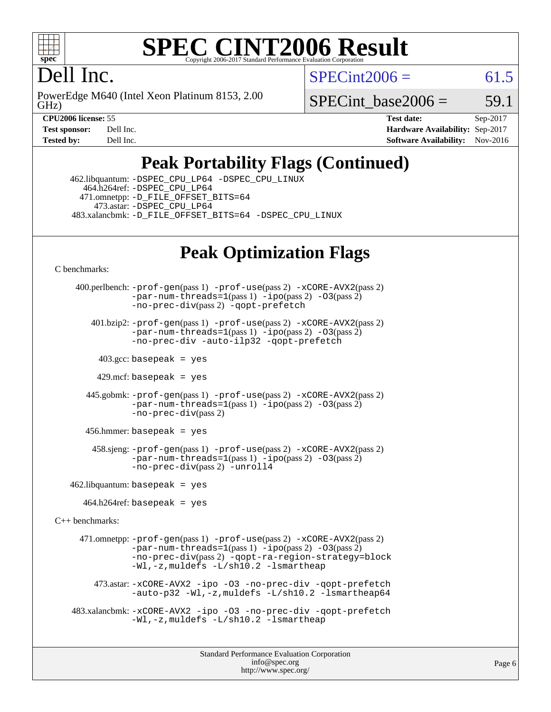

#### **[SPEC CINT2006 Result](http://www.spec.org/auto/cpu2006/Docs/result-fields.html#SPECCINT2006Result)** Copyright 2006-2017 Standard Performance Evaluation C

# Dell Inc.

GHz) PowerEdge M640 (Intel Xeon Platinum 8153, 2.00  $SPECint2006 = 61.5$  $SPECint2006 = 61.5$ 

SPECint base2006 =  $59.1$ 

**[CPU2006 license:](http://www.spec.org/auto/cpu2006/Docs/result-fields.html#CPU2006license)** 55 **[Test date:](http://www.spec.org/auto/cpu2006/Docs/result-fields.html#Testdate)** Sep-2017 **[Test sponsor:](http://www.spec.org/auto/cpu2006/Docs/result-fields.html#Testsponsor)** Dell Inc. **[Hardware Availability:](http://www.spec.org/auto/cpu2006/Docs/result-fields.html#HardwareAvailability)** Sep-2017 **[Tested by:](http://www.spec.org/auto/cpu2006/Docs/result-fields.html#Testedby)** Dell Inc. **[Software Availability:](http://www.spec.org/auto/cpu2006/Docs/result-fields.html#SoftwareAvailability)** Nov-2016

# **[Peak Portability Flags \(Continued\)](http://www.spec.org/auto/cpu2006/Docs/result-fields.html#PeakPortabilityFlags)**

 462.libquantum: [-DSPEC\\_CPU\\_LP64](http://www.spec.org/cpu2006/results/res2017q4/cpu2006-20170918-49902.flags.html#suite_peakPORTABILITY462_libquantum_DSPEC_CPU_LP64) [-DSPEC\\_CPU\\_LINUX](http://www.spec.org/cpu2006/results/res2017q4/cpu2006-20170918-49902.flags.html#b462.libquantum_peakCPORTABILITY_DSPEC_CPU_LINUX) 464.h264ref: [-DSPEC\\_CPU\\_LP64](http://www.spec.org/cpu2006/results/res2017q4/cpu2006-20170918-49902.flags.html#suite_peakPORTABILITY464_h264ref_DSPEC_CPU_LP64) 471.omnetpp: [-D\\_FILE\\_OFFSET\\_BITS=64](http://www.spec.org/cpu2006/results/res2017q4/cpu2006-20170918-49902.flags.html#user_peakPORTABILITY471_omnetpp_file_offset_bits_64_438cf9856305ebd76870a2c6dc2689ab) 473.astar: [-DSPEC\\_CPU\\_LP64](http://www.spec.org/cpu2006/results/res2017q4/cpu2006-20170918-49902.flags.html#suite_peakPORTABILITY473_astar_DSPEC_CPU_LP64) 483.xalancbmk: [-D\\_FILE\\_OFFSET\\_BITS=64](http://www.spec.org/cpu2006/results/res2017q4/cpu2006-20170918-49902.flags.html#user_peakPORTABILITY483_xalancbmk_file_offset_bits_64_438cf9856305ebd76870a2c6dc2689ab) [-DSPEC\\_CPU\\_LINUX](http://www.spec.org/cpu2006/results/res2017q4/cpu2006-20170918-49902.flags.html#b483.xalancbmk_peakCXXPORTABILITY_DSPEC_CPU_LINUX)

# **[Peak Optimization Flags](http://www.spec.org/auto/cpu2006/Docs/result-fields.html#PeakOptimizationFlags)**

[C benchmarks](http://www.spec.org/auto/cpu2006/Docs/result-fields.html#Cbenchmarks):

```
 400.perlbench: -prof-gen(pass 1) -prof-use(pass 2) -xCORE-AVX2(pass 2)
               -par-num-threads=1-ipo-O3(pass 2)-no-prec-div(pass 2) -qopt-prefetch
        401.bzip2: -prof-gen(pass 1) -prof-use(pass 2) -xCORE-AVX2(pass 2)
               -par-num-threads=1(pass 1) -ipo(pass 2) -O3(pass 2)
               -no-prec-div -auto-ilp32 -qopt-prefetch
        403.\text{gcc: basepeak} = yes
        429.mcf: basepeak = yes
       445.gobmk: -prof-gen(pass 1) -prof-use(pass 2) -xCORE-AVX2(pass 2)
               -par-num-threads=1-ipo-O3(pass 2)-no-prec-div(pass 2)
       456.hmmer: basepeak = yes
        458.sjeng: -prof-gen(pass 1) -prof-use(pass 2) -xCORE-AVX2(pass 2)
               -par-num-threads=1-ipo-O3(pass 2)-no-prec-div(pass 2) -unroll4
   462.libquantum: basepeak = yes
     464.h264ref: basepeak = yes
C++ benchmarks: 
     471.omnetpp: -prof-gen(pass 1) -prof-use(pass 2) -xCORE-AVX2(pass 2)
               -par-num-threads=1-ipo-O3(pass 2)-no-prec-div(pass 2) -qopt-ra-region-strategy=block
               -Wl,-z,muldefs -L/sh10.2 -lsmartheap
        473.astar: -xCORE-AVX2 -ipo -O3 -no-prec-div -qopt-prefetch
               -auto-p32 -Wl,-z,muldefs -L/sh10.2 -lsmartheap64
    483.xalancbmk: -xCORE-AVX2 -ipo -O3 -no-prec-div -qopt-prefetch
               -Wl,-z,muldefs -L/sh10.2 -lsmartheap
```